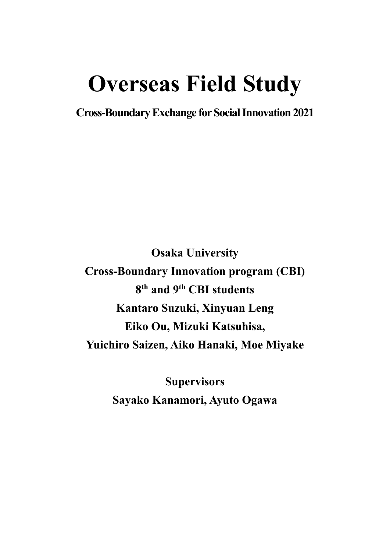# **Overseas Field Study**

**Cross-Boundary Exchange for Social Innovation 2021**

**Osaka University Cross-Boundary Innovation program (CBI) 8 th and 9th CBI students Kantaro Suzuki, Xinyuan Leng Eiko Ou, Mizuki Katsuhisa, Yuichiro Saizen, Aiko Hanaki, Moe Miyake**

> **Supervisors Sayako Kanamori, Ayuto Ogawa**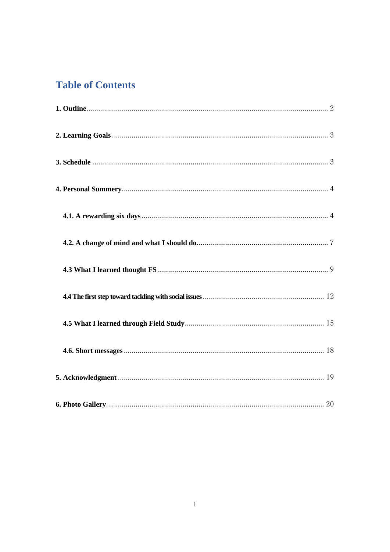# **Table of Contents**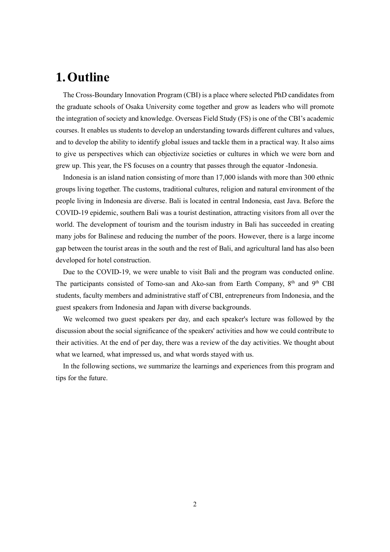# <span id="page-2-0"></span>**1.Outline**

The Cross-Boundary Innovation Program (CBI) is a place where selected PhD candidates from the graduate schools of Osaka University come together and grow as leaders who will promote the integration of society and knowledge. Overseas Field Study (FS) is one of the CBI's academic courses. It enables us students to develop an understanding towards different cultures and values, and to develop the ability to identify global issues and tackle them in a practical way. It also aims to give us perspectives which can objectivize societies or cultures in which we were born and grew up. This year, the FS focuses on a country that passes through the equator -Indonesia.

Indonesia is an island nation consisting of more than 17,000 islands with more than 300 ethnic groups living together. The customs, traditional cultures, religion and natural environment of the people living in Indonesia are diverse. Bali is located in central Indonesia, east Java. Before the COVID-19 epidemic, southern Bali was a tourist destination, attracting visitors from all over the world. The development of tourism and the tourism industry in Bali has succeeded in creating many jobs for Balinese and reducing the number of the poors. However, there is a large income gap between the tourist areas in the south and the rest of Bali, and agricultural land has also been developed for hotel construction.

Due to the COVID-19, we were unable to visit Bali and the program was conducted online. The participants consisted of Tomo-san and Ako-san from Earth Company, 8<sup>th</sup> and 9<sup>th</sup> CBI students, faculty members and administrative staff of CBI, entrepreneurs from Indonesia, and the guest speakers from Indonesia and Japan with diverse backgrounds.

We welcomed two guest speakers per day, and each speaker's lecture was followed by the discussion about the social significance of the speakers' activities and how we could contribute to their activities. At the end of per day, there was a review of the day activities. We thought about what we learned, what impressed us, and what words stayed with us.

In the following sections, we summarize the learnings and experiences from this program and tips for the future.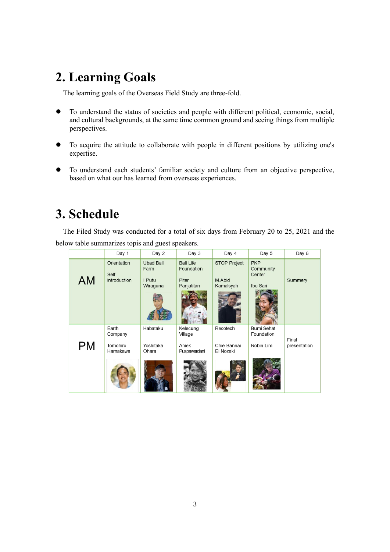# <span id="page-3-0"></span>**2. Learning Goals**

The learning goals of the Overseas Field Study are three-fold.

- ⚫ To understand the status of societies and people with different political, economic, social, and cultural backgrounds, at the same time common ground and seeing things from multiple perspectives.
- ⚫ To acquire the attitude to collaborate with people in different positions by utilizing one's expertise.
- ⚫ To understand each students' familiar society and culture from an objective perspective, based on what our has learned from overseas experiences.

# <span id="page-3-1"></span>**3. Schedule**

The Filed Study was conducted for a total of six days from February 20 to 25, 2021 and the below table summarizes topis and guest speakers.

|           | Day 1                                    | Day 2                                          | Day 3                                                 | Day 4                                      | Day 5                                         | Day 6                 |
|-----------|------------------------------------------|------------------------------------------------|-------------------------------------------------------|--------------------------------------------|-----------------------------------------------|-----------------------|
| <b>AM</b> | Orientation<br>Self<br>introduction      | <b>Ubad Bail</b><br>Farm<br>I Putu<br>Wiraguna | <b>Bali Life</b><br>Foundation<br>Piter<br>Panjatitan | <b>STOP Project</b><br>M.Abid<br>Kamalsyah | <b>PKP</b><br>Community<br>Center<br>Ibu Sari | Summery               |
| <b>PM</b> | Earth<br>Company<br>Tomohiro<br>Hamakawa | Habataku<br>Yoshitaka<br>Ohara                 | Kelecung<br>Village<br>Aniek<br>Puspawardani          | Recotech<br>Chie Bannai<br>Ei Nozaki       | <b>Bumi Sehat</b><br>Foundation<br>Robin Lim  | Final<br>presentation |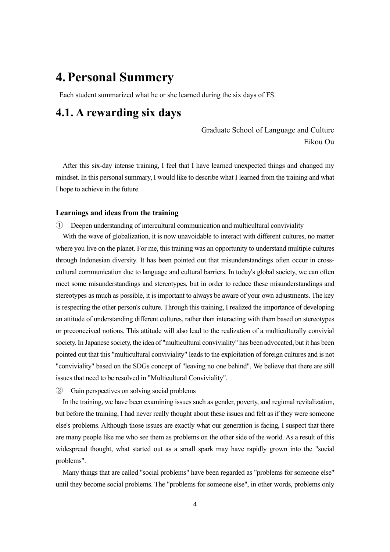# <span id="page-4-0"></span>**4.Personal Summery**

Each student summarized what he or she learned during the six days of FS.

### <span id="page-4-1"></span>**4.1. A rewarding six days**

Graduate School of Language and Culture Eikou Ou

After this six-day intense training, I feel that I have learned unexpected things and changed my mindset. In this personal summary, I would like to describe what I learned from the training and what I hope to achieve in the future.

#### **Learnings and ideas from the training**

① Deepen understanding of intercultural communication and multicultural conviviality

With the wave of globalization, it is now unavoidable to interact with different cultures, no matter where you live on the planet. For me, this training was an opportunity to understand multiple cultures through Indonesian diversity. It has been pointed out that misunderstandings often occur in crosscultural communication due to language and cultural barriers. In today's global society, we can often meet some misunderstandings and stereotypes, but in order to reduce these misunderstandings and stereotypes as much as possible, it is important to always be aware of your own adjustments. The key is respecting the other person's culture. Through this training, I realized the importance of developing an attitude of understanding different cultures, rather than interacting with them based on stereotypes or preconceived notions. This attitude will also lead to the realization of a multiculturally convivial society. In Japanese society, the idea of "multicultural conviviality" has been advocated, but it has been pointed out that this "multicultural conviviality" leads to the exploitation of foreign cultures and is not "conviviality" based on the SDGs concept of "leaving no one behind". We believe that there are still issues that need to be resolved in "Multicultural Conviviality".

#### ② Gain perspectives on solving social problems

In the training, we have been examining issues such as gender, poverty, and regional revitalization, but before the training, I had never really thought about these issues and felt as if they were someone else's problems. Although those issues are exactly what our generation is facing, I suspect that there are many people like me who see them as problems on the other side of the world. As a result of this widespread thought, what started out as a small spark may have rapidly grown into the "social problems".

Many things that are called "social problems" have been regarded as "problems for someone else" until they become social problems. The "problems for someone else", in other words, problems only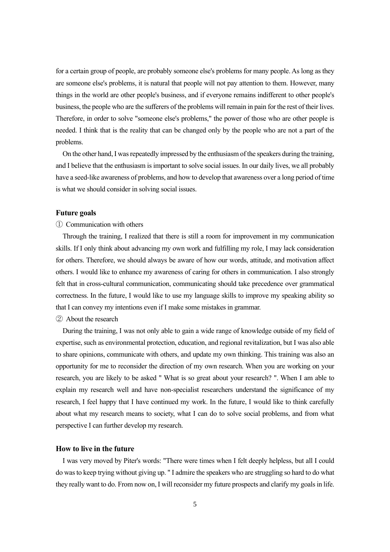for a certain group of people, are probably someone else's problems for many people. As long as they are someone else's problems, it is natural that people will not pay attention to them. However, many things in the world are other people's business, and if everyone remains indifferent to other people's business, the people who are the sufferers of the problems will remain in pain for the rest of their lives. Therefore, in order to solve "someone else's problems," the power of those who are other people is needed. I think that is the reality that can be changed only by the people who are not a part of the problems.

On the other hand, I was repeatedly impressed by the enthusiasm of the speakers during the training, and I believe that the enthusiasm is important to solve social issues. In our daily lives, we all probably have a seed-like awareness of problems, and how to develop that awareness over a long period of time is what we should consider in solving social issues.

#### **Future goals**

#### ① Communication with others

Through the training, I realized that there is still a room for improvement in my communication skills. If I only think about advancing my own work and fulfilling my role, I may lack consideration for others. Therefore, we should always be aware of how our words, attitude, and motivation affect others. I would like to enhance my awareness of caring for others in communication. I also strongly felt that in cross-cultural communication, communicating should take precedence over grammatical correctness. In the future, I would like to use my language skills to improve my speaking ability so that I can convey my intentions even if I make some mistakes in grammar.

#### ② About the research

During the training, I was not only able to gain a wide range of knowledge outside of my field of expertise, such as environmental protection, education, and regional revitalization, but I was also able to share opinions, communicate with others, and update my own thinking. This training was also an opportunity for me to reconsider the direction of my own research. When you are working on your research, you are likely to be asked " What is so great about your research? ". When I am able to explain my research well and have non-specialist researchers understand the significance of my research, I feel happy that I have continued my work. In the future, I would like to think carefully about what my research means to society, what I can do to solve social problems, and from what perspective I can further develop my research.

#### **How to live in the future**

I was very moved by Piter's words: "There were times when I felt deeply helpless, but all I could do was to keep trying without giving up. " I admire the speakers who are struggling so hard to do what they really want to do. From now on, I will reconsider my future prospects and clarify my goals in life.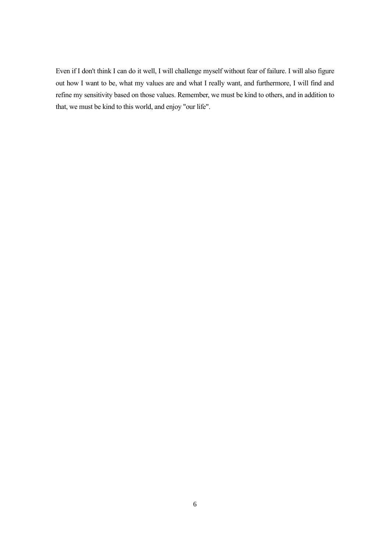Even if I don't think I can do it well, I will challenge myself without fear of failure. I will also figure out how I want to be, what my values are and what I really want, and furthermore, I will find and refine my sensitivity based on those values. Remember, we must be kind to others, and in addition to that, we must be kind to this world, and enjoy "our life".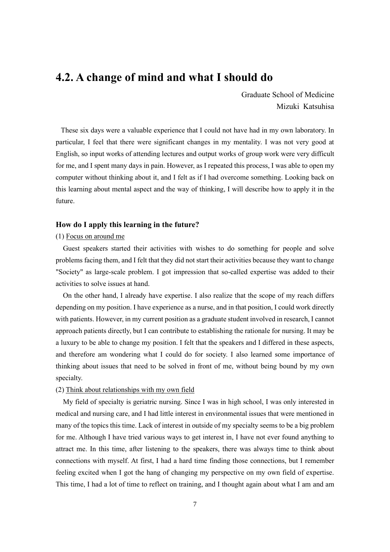### <span id="page-7-0"></span>**4.2. A change of mind and what I should do**

Graduate School of Medicine Mizuki Katsuhisa

These six days were a valuable experience that I could not have had in my own laboratory. In particular, I feel that there were significant changes in my mentality. I was not very good at English, so input works of attending lectures and output works of group work were very difficult for me, and I spent many days in pain. However, as I repeated this process, I was able to open my computer without thinking about it, and I felt as if I had overcome something. Looking back on this learning about mental aspect and the way of thinking, I will describe how to apply it in the future.

#### **How do I apply this learning in the future?**

#### (1) Focus on around me

Guest speakers started their activities with wishes to do something for people and solve problems facing them, and I felt that they did not start their activities because they want to change "Society" as large-scale problem. I got impression that so-called expertise was added to their activities to solve issues at hand.

On the other hand, I already have expertise. I also realize that the scope of my reach differs depending on my position. I have experience as a nurse, and in that position, I could work directly with patients. However, in my current position as a graduate student involved in research, I cannot approach patients directly, but I can contribute to establishing the rationale for nursing. It may be a luxury to be able to change my position. I felt that the speakers and I differed in these aspects, and therefore am wondering what I could do for society. I also learned some importance of thinking about issues that need to be solved in front of me, without being bound by my own specialty.

#### (2) Think about relationships with my own field

My field of specialty is geriatric nursing. Since I was in high school, I was only interested in medical and nursing care, and I had little interest in environmental issues that were mentioned in many of the topics this time. Lack of interest in outside of my specialty seems to be a big problem for me. Although I have tried various ways to get interest in, I have not ever found anything to attract me. In this time, after listening to the speakers, there was always time to think about connections with myself. At first, I had a hard time finding those connections, but I remember feeling excited when I got the hang of changing my perspective on my own field of expertise. This time, I had a lot of time to reflect on training, and I thought again about what I am and am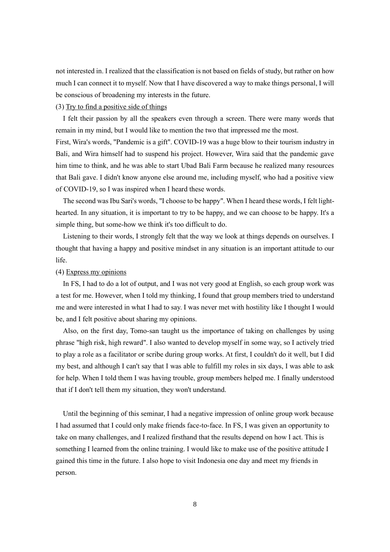not interested in. I realized that the classification is not based on fields of study, but rather on how much I can connect it to myself. Now that I have discovered a way to make things personal, I will be conscious of broadening my interests in the future.

#### (3) Try to find a positive side of things

I felt their passion by all the speakers even through a screen. There were many words that remain in my mind, but I would like to mention the two that impressed me the most.

First, Wira's words, "Pandemic is a gift". COVID-19 was a huge blow to their tourism industry in Bali, and Wira himself had to suspend his project. However, Wira said that the pandemic gave him time to think, and he was able to start Ubad Bali Farm because he realized many resources that Bali gave. I didn't know anyone else around me, including myself, who had a positive view of COVID-19, so I was inspired when I heard these words.

The second was Ibu Sari's words, "I choose to be happy". When I heard these words, I felt lighthearted. In any situation, it is important to try to be happy, and we can choose to be happy. It's a simple thing, but some-how we think it's too difficult to do.

Listening to their words, I strongly felt that the way we look at things depends on ourselves. I thought that having a happy and positive mindset in any situation is an important attitude to our life.

#### (4) Express my opinions

In FS, I had to do a lot of output, and I was not very good at English, so each group work was a test for me. However, when I told my thinking, I found that group members tried to understand me and were interested in what I had to say. I was never met with hostility like I thought I would be, and I felt positive about sharing my opinions.

Also, on the first day, Tomo-san taught us the importance of taking on challenges by using phrase "high risk, high reward". I also wanted to develop myself in some way, so I actively tried to play a role as a facilitator or scribe during group works. At first, I couldn't do it well, but I did my best, and although I can't say that I was able to fulfill my roles in six days, I was able to ask for help. When I told them I was having trouble, group members helped me. I finally understood that if I don't tell them my situation, they won't understand.

Until the beginning of this seminar, I had a negative impression of online group work because I had assumed that I could only make friends face-to-face. In FS, I was given an opportunity to take on many challenges, and I realized firsthand that the results depend on how I act. This is something I learned from the online training. I would like to make use of the positive attitude I gained this time in the future. I also hope to visit Indonesia one day and meet my friends in person.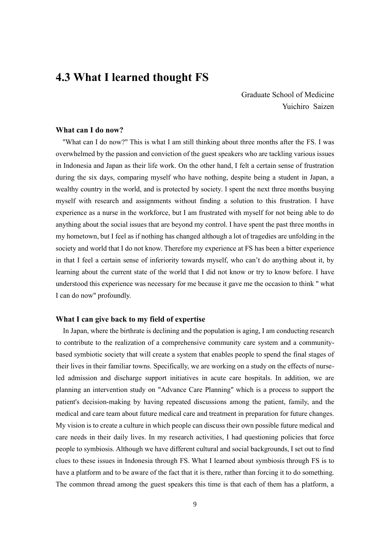## <span id="page-9-0"></span>**4.3 What I learned thought FS**

Graduate School of Medicine Yuichiro Saizen

#### **What can I do now?**

"What can I do now?" This is what I am still thinking about three months after the FS. I was overwhelmed by the passion and conviction of the guest speakers who are tackling various issues in Indonesia and Japan as their life work. On the other hand, I felt a certain sense of frustration during the six days, comparing myself who have nothing, despite being a student in Japan, a wealthy country in the world, and is protected by society. I spent the next three months busying myself with research and assignments without finding a solution to this frustration. I have experience as a nurse in the workforce, but I am frustrated with myself for not being able to do anything about the social issues that are beyond my control. I have spent the past three months in my hometown, but I feel as if nothing has changed although a lot of tragedies are unfolding in the society and world that I do not know. Therefore my experience at FS has been a bitter experience in that I feel a certain sense of inferiority towards myself, who can't do anything about it, by learning about the current state of the world that I did not know or try to know before. I have understood this experience was necessary for me because it gave me the occasion to think " what I can do now" profoundly.

#### **What I can give back to my field of expertise**

In Japan, where the birthrate is declining and the population is aging, I am conducting research to contribute to the realization of a comprehensive community care system and a communitybased symbiotic society that will create a system that enables people to spend the final stages of their lives in their familiar towns. Specifically, we are working on a study on the effects of nurseled admission and discharge support initiatives in acute care hospitals. In addition, we are planning an intervention study on "Advance Care Planning" which is a process to support the patient's decision-making by having repeated discussions among the patient, family, and the medical and care team about future medical care and treatment in preparation for future changes. My vision is to create a culture in which people can discuss their own possible future medical and care needs in their daily lives. In my research activities, I had questioning policies that force people to symbiosis. Although we have different cultural and social backgrounds, I set out to find clues to these issues in Indonesia through FS. What I learned about symbiosis through FS is to have a platform and to be aware of the fact that it is there, rather than forcing it to do something. The common thread among the guest speakers this time is that each of them has a platform, a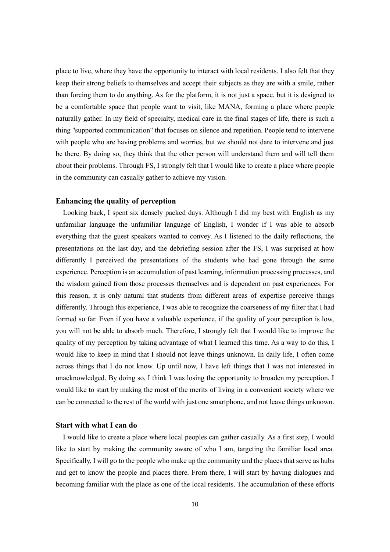place to live, where they have the opportunity to interact with local residents. I also felt that they keep their strong beliefs to themselves and accept their subjects as they are with a smile, rather than forcing them to do anything. As for the platform, it is not just a space, but it is designed to be a comfortable space that people want to visit, like MANA, forming a place where people naturally gather. In my field of specialty, medical care in the final stages of life, there is such a thing "supported communication" that focuses on silence and repetition. People tend to intervene with people who are having problems and worries, but we should not dare to intervene and just be there. By doing so, they think that the other person will understand them and will tell them about their problems. Through FS, I strongly felt that I would like to create a place where people in the community can casually gather to achieve my vision.

#### **Enhancing the quality of perception**

Looking back, I spent six densely packed days. Although I did my best with English as my unfamiliar language the unfamiliar language of English, I wonder if I was able to absorb everything that the guest speakers wanted to convey. As I listened to the daily reflections, the presentations on the last day, and the debriefing session after the FS, I was surprised at how differently I perceived the presentations of the students who had gone through the same experience. Perception is an accumulation of past learning, information processing processes, and the wisdom gained from those processes themselves and is dependent on past experiences. For this reason, it is only natural that students from different areas of expertise perceive things differently. Through this experience, I was able to recognize the coarseness of my filter that I had formed so far. Even if you have a valuable experience, if the quality of your perception is low, you will not be able to absorb much. Therefore, I strongly felt that I would like to improve the quality of my perception by taking advantage of what I learned this time. As a way to do this, I would like to keep in mind that I should not leave things unknown. In daily life, I often come across things that I do not know. Up until now, I have left things that I was not interested in unacknowledged. By doing so, I think I was losing the opportunity to broaden my perception. I would like to start by making the most of the merits of living in a convenient society where we can be connected to the rest of the world with just one smartphone, and not leave things unknown.

#### **Start with what I can do**

I would like to create a place where local peoples can gather casually. As a first step, I would like to start by making the community aware of who I am, targeting the familiar local area. Specifically, I will go to the people who make up the community and the places that serve as hubs and get to know the people and places there. From there, I will start by having dialogues and becoming familiar with the place as one of the local residents. The accumulation of these efforts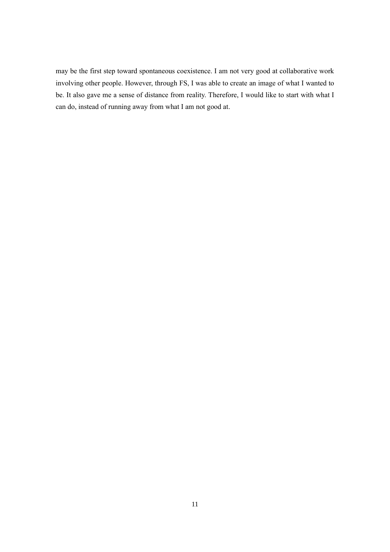may be the first step toward spontaneous coexistence. I am not very good at collaborative work involving other people. However, through FS, I was able to create an image of what I wanted to be. It also gave me a sense of distance from reality. Therefore, I would like to start with what I can do, instead of running away from what I am not good at.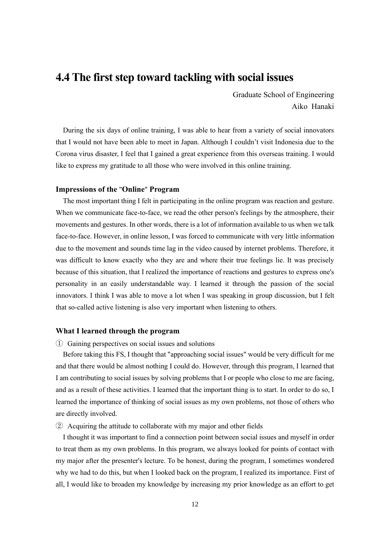### <span id="page-12-0"></span>**4.4 The first step toward tackling with social issues**

Graduate School of Engineering Aiko Hanaki

During the six days of online training, I was able to hear from a variety of social innovators that I would not have been able to meet in Japan. Although I couldn't visit Indonesia due to the Corona virus disaster, I feel that I gained a great experience from this overseas training. I would like to express my gratitude to all those who were involved in this online training.

#### **Impressions of the** "**Online**" **Program**

The most important thing I felt in participating in the online program was reaction and gesture. When we communicate face-to-face, we read the other person's feelings by the atmosphere, their movements and gestures. In other words, there is a lot of information available to us when we talk face-to-face. However, in online lesson, I was forced to communicate with very little information due to the movement and sounds time lag in the video caused by internet problems. Therefore, it was difficult to know exactly who they are and where their true feelings lie. It was precisely because of this situation, that I realized the importance of reactions and gestures to express one's personality in an easily understandable way. I learned it through the passion of the social innovators. I think I was able to move a lot when I was speaking in group discussion, but I felt that so-called active listening is also very important when listening to others.

#### **What I learned through the program**

① Gaining perspectives on social issues and solutions

Before taking this FS, I thought that "approaching social issues" would be very difficult for me and that there would be almost nothing I could do. However, through this program, I learned that I am contributing to social issues by solving problems that I or people who close to me are facing, and as a result of these activities. I learned that the important thing is to start. In order to do so, I learned the importance of thinking of social issues as my own problems, not those of others who are directly involved.

② Acquiring the attitude to collaborate with my major and other fields

I thought it was important to find a connection point between social issues and myself in order to treat them as my own problems. In this program, we always looked for points of contact with my major after the presenter's lecture. To be honest, during the program, I sometimes wondered why we had to do this, but when I looked back on the program, I realized its importance. First of all, I would like to broaden my knowledge by increasing my prior knowledge as an effort to get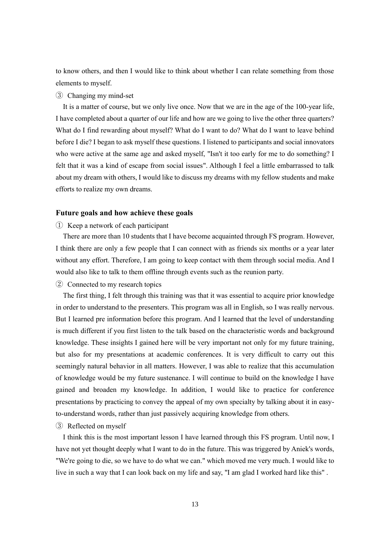to know others, and then I would like to think about whether I can relate something from those elements to myself.

#### ③ Changing my mind-set

It is a matter of course, but we only live once. Now that we are in the age of the 100-year life, I have completed about a quarter of our life and how are we going to live the other three quarters? What do I find rewarding about myself? What do I want to do? What do I want to leave behind before I die? I began to ask myself these questions. I listened to participants and social innovators who were active at the same age and asked myself, "Isn't it too early for me to do something? I felt that it was a kind of escape from social issues". Although I feel a little embarrassed to talk about my dream with others, I would like to discuss my dreams with my fellow students and make efforts to realize my own dreams.

#### **Future goals and how achieve these goals**

① Keep a network of each participant

There are more than 10 students that I have become acquainted through FS program. However, I think there are only a few people that I can connect with as friends six months or a year later without any effort. Therefore, I am going to keep contact with them through social media. And I would also like to talk to them offline through events such as the reunion party.

#### ② Connected to my research topics

The first thing, I felt through this training was that it was essential to acquire prior knowledge in order to understand to the presenters. This program was all in English, so I was really nervous. But I learned pre information before this program. And I learned that the level of understanding is much different if you first listen to the talk based on the characteristic words and background knowledge. These insights I gained here will be very important not only for my future training, but also for my presentations at academic conferences. It is very difficult to carry out this seemingly natural behavior in all matters. However, I was able to realize that this accumulation of knowledge would be my future sustenance. I will continue to build on the knowledge I have gained and broaden my knowledge. In addition, I would like to practice for conference presentations by practicing to convey the appeal of my own specialty by talking about it in easyto-understand words, rather than just passively acquiring knowledge from others.

#### ③ Reflected on myself

I think this is the most important lesson I have learned through this FS program. Until now, I have not yet thought deeply what I want to do in the future. This was triggered by Aniek's words, "We're going to die, so we have to do what we can." which moved me very much. I would like to live in such a way that I can look back on my life and say, "I am glad I worked hard like this" .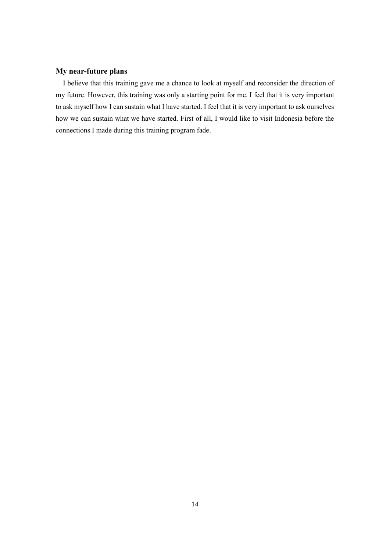#### **My near-future plans**

I believe that this training gave me a chance to look at myself and reconsider the direction of my future. However, this training was only a starting point for me. I feel that it is very important to ask myself how I can sustain what I have started. I feel that it is very important to ask ourselves how we can sustain what we have started. First of all, I would like to visit Indonesia before the connections I made during this training program fade.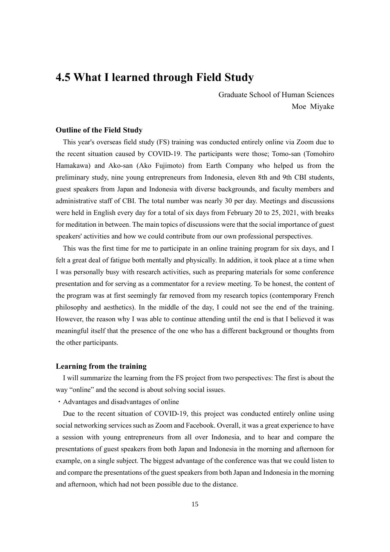### <span id="page-15-0"></span>**4.5 What I learned through Field Study**

Graduate School of Human Sciences Moe Miyake

#### **Outline of the Field Study**

This year's overseas field study (FS) training was conducted entirely online via Zoom due to the recent situation caused by COVID-19. The participants were those; Tomo-san (Tomohiro Hamakawa) and Ako-san (Ako Fujimoto) from Earth Company who helped us from the preliminary study, nine young entrepreneurs from Indonesia, eleven 8th and 9th CBI students, guest speakers from Japan and Indonesia with diverse backgrounds, and faculty members and administrative staff of CBI. The total number was nearly 30 per day. Meetings and discussions were held in English every day for a total of six days from February 20 to 25, 2021, with breaks for meditation in between. The main topics of discussions were that the social importance of guest speakers' activities and how we could contribute from our own professional perspectives.

This was the first time for me to participate in an online training program for six days, and I felt a great deal of fatigue both mentally and physically. In addition, it took place at a time when I was personally busy with research activities, such as preparing materials for some conference presentation and for serving as a commentator for a review meeting. To be honest, the content of the program was at first seemingly far removed from my research topics (contemporary French philosophy and aesthetics). In the middle of the day, I could not see the end of the training. However, the reason why I was able to continue attending until the end is that I believed it was meaningful itself that the presence of the one who has a different background or thoughts from the other participants.

#### **Learning from the training**

I will summarize the learning from the FS project from two perspectives: The first is about the way "online" and the second is about solving social issues.

・Advantages and disadvantages of online

Due to the recent situation of COVID-19, this project was conducted entirely online using social networking services such as Zoom and Facebook. Overall, it was a great experience to have a session with young entrepreneurs from all over Indonesia, and to hear and compare the presentations of guest speakers from both Japan and Indonesia in the morning and afternoon for example, on a single subject. The biggest advantage of the conference was that we could listen to and compare the presentations of the guest speakers from both Japan and Indonesia in the morning and afternoon, which had not been possible due to the distance.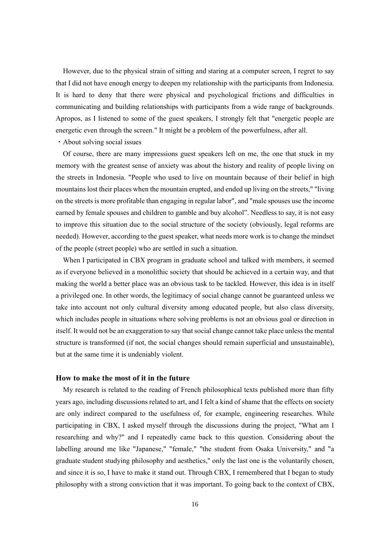However, due to the physical strain of sitting and staring at a computer screen, I regret to say that I did not have enough energy to deepen my relationship with the participants from Indonesia. It is hard to deny that there were physical and psychological frictions and difficulties in communicating and building relationships with participants from a wide range of backgrounds. Apropos, as I listened to some of the guest speakers, I strongly felt that "energetic people are energetic even through the screen." It might be a problem of the powerfulness, after all.

・About solving social issues

Of course, there are many impressions guest speakers left on me, the one that stuck in my memory with the greatest sense of anxiety was about the history and reality of people living on the streets in Indonesia. "People who used to live on mountain because of their belief in high mountains lost their places when the mountain erupted, and ended up living on the streets," "living on the streets is more profitable than engaging in regular labor", and "male spouses use the income earned by female spouses and children to gamble and buy alcohol". Needless to say, it is not easy to improve this situation due to the social structure of the society (obviously, legal reforms are needed). However, according to the guest speaker, what needs more work is to change the mindset of the people (street people) who are settled in such a situation.

When I participated in CBX program in graduate school and talked with members, it seemed as if everyone believed in a monolithic society that should be achieved in a certain way, and that making the world a better place was an obvious task to be tackled. However, this idea is in itself a privileged one. In other words, the legitimacy of social change cannot be guaranteed unless we take into account not only cultural diversity among educated people, but also class diversity, which includes people in situations where solving problems is not an obvious goal or direction in itself. It would not be an exaggeration to say that social change cannot take place unless the mental structure is transformed (if not, the social changes should remain superficial and unsustainable), but at the same time it is undeniably violent.

#### **How to make the most of it in the future**

My research is related to the reading of French philosophical texts published more than fifty years ago, including discussions related to art, and I felt a kind of shame that the effects on society are only indirect compared to the usefulness of, for example, engineering researches. While participating in CBX, I asked myself through the discussions during the project, "What am I researching and why?" and I repeatedly came back to this question. Considering about the labelling around me like "Japanese," "female," "the student from Osaka University," and "a graduate student studying philosophy and aesthetics," only the last one is the voluntarily chosen, and since it is so, I have to make it stand out. Through CBX, I remembered that I began to study philosophy with a strong conviction that it was important. To going back to the context of CBX,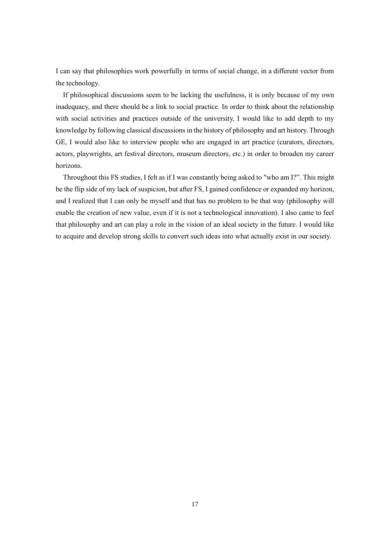I can say that philosophies work powerfully in terms of social change, in a different vector from the technology.

If philosophical discussions seem to be lacking the usefulness, it is only because of my own inadequacy, and there should be a link to social practice. In order to think about the relationship with social activities and practices outside of the university, I would like to add depth to my knowledge by following classical discussions in the history of philosophy and art history. Through GE, I would also like to interview people who are engaged in art practice (curators, directors, actors, playwrights, art festival directors, museum directors, etc.) in order to broaden my career horizons.

Throughout this FS studies, I felt as if I was constantly being asked to "who am I?". This might be the flip side of my lack of suspicion, but after FS, I gained confidence or expanded my horizon, and I realized that I can only be myself and that has no problem to be that way (philosophy will enable the creation of new value, even if it is not a technological innovation). I also came to feel that philosophy and art can play a role in the vision of an ideal society in the future. I would like to acquire and develop strong skills to convert such ideas into what actually exist in our society.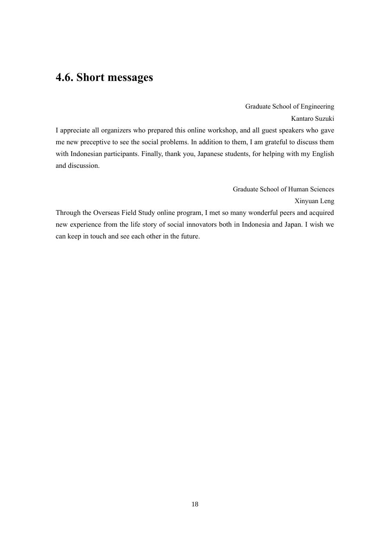### <span id="page-18-0"></span>**4.6. Short messages**

#### Graduate School of Engineering Kantaro Suzuki

I appreciate all organizers who prepared this online workshop, and all guest speakers who gave me new preceptive to see the social problems. In addition to them, I am grateful to discuss them with Indonesian participants. Finally, thank you, Japanese students, for helping with my English and discussion.

Graduate School of Human Sciences

Xinyuan Leng

Through the Overseas Field Study online program, I met so many wonderful peers and acquired new experience from the life story of social innovators both in Indonesia and Japan. I wish we can keep in touch and see each other in the future.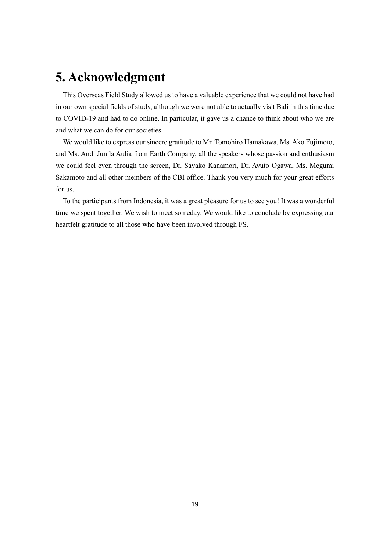# <span id="page-19-0"></span>**5. Acknowledgment**

This Overseas Field Study allowed us to have a valuable experience that we could not have had in our own special fields of study, although we were not able to actually visit Bali in this time due to COVID-19 and had to do online. In particular, it gave us a chance to think about who we are and what we can do for our societies.

We would like to express our sincere gratitude to Mr. Tomohiro Hamakawa, Ms. Ako Fujimoto, and Ms. Andi Junila Aulia from Earth Company, all the speakers whose passion and enthusiasm we could feel even through the screen, Dr. Sayako Kanamori, Dr. Ayuto Ogawa, Ms. Megumi Sakamoto and all other members of the CBI office. Thank you very much for your great efforts for us.

To the participants from Indonesia, it was a great pleasure for us to see you! It was a wonderful time we spent together. We wish to meet someday. We would like to conclude by expressing our heartfelt gratitude to all those who have been involved through FS.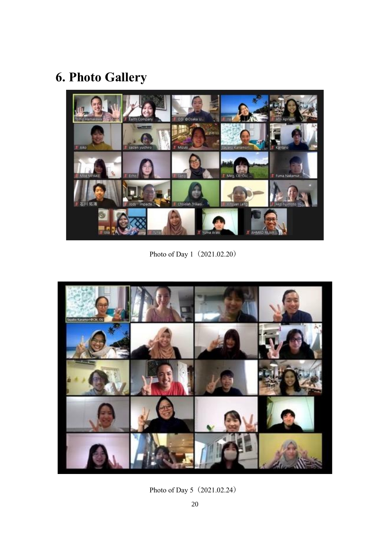# <span id="page-20-0"></span>**6. Photo Gallery**



Photo of Day 1 (2021.02.20)



Photo of Day 5 (2021.02.24)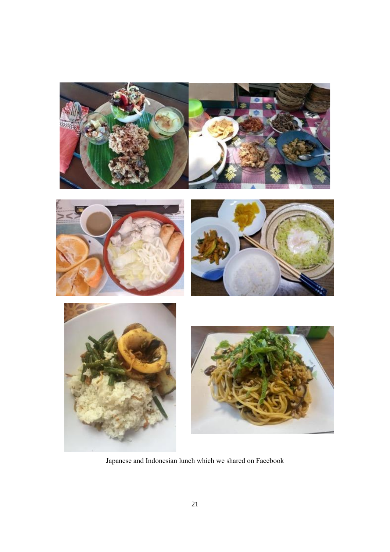









Japanese and Indonesian lunch which we shared on Facebook